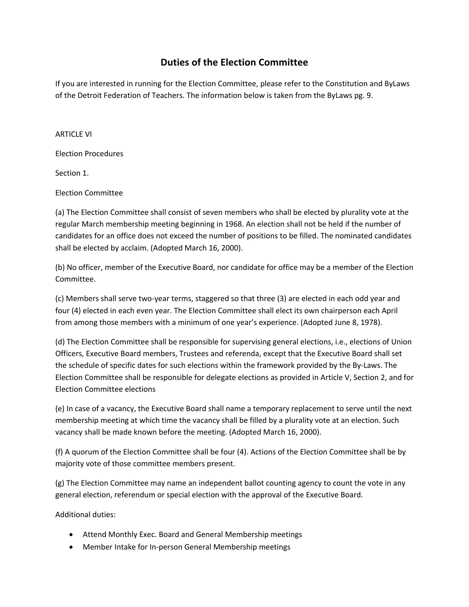## **Duties of the Election Committee**

If you are interested in running for the Election Committee, please refer to the Constitution and ByLaws of the Detroit Federation of Teachers. The information below is taken from the ByLaws pg. 9.

## **ARTICLE VI**

Election Procedures

Section 1.

Election Committee

(a) The Election Committee shall consist of seven members who shall be elected by plurality vote at the regular March membership meeting beginning in 1968. An election shall not be held if the number of candidates for an office does not exceed the number of positions to be filled. The nominated candidates shall be elected by acclaim. (Adopted March 16, 2000).

(b) No officer, member of the Executive Board, nor candidate for office may be a member of the Election Committee.

(c) Members shall serve two-year terms, staggered so that three (3) are elected in each odd year and four (4) elected in each even year. The Election Committee shall elect its own chairperson each April from among those members with a minimum of one year's experience. (Adopted June 8, 1978).

(d) The Election Committee shall be responsible for supervising general elections, i.e., elections of Union Officers, Executive Board members, Trustees and referenda, except that the Executive Board shall set the schedule of specific dates for such elections within the framework provided by the By-Laws. The Election Committee shall be responsible for delegate elections as provided in Article V, Section 2, and for Election Committee elections

(e) In case of a vacancy, the Executive Board shall name a temporary replacement to serve until the next membership meeting at which time the vacancy shall be filled by a plurality vote at an election. Such vacancy shall be made known before the meeting. (Adopted March 16, 2000).

(f) A quorum of the Election Committee shall be four (4). Actions of the Election Committee shall be by majority vote of those committee members present.

(g) The Election Committee may name an independent ballot counting agency to count the vote in any general election, referendum or special election with the approval of the Executive Board.

Additional duties:

- Attend Monthly Exec. Board and General Membership meetings
- Member Intake for In-person General Membership meetings